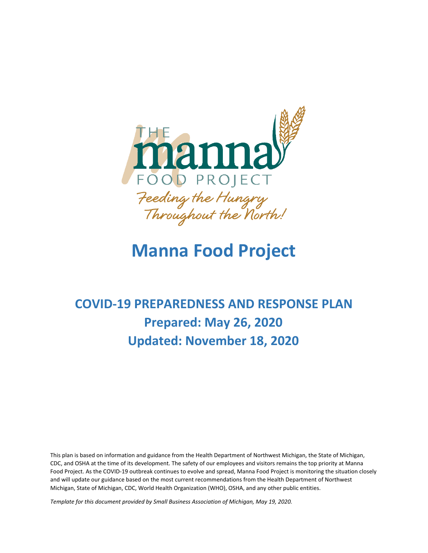

# **Manna Food Project**

# **COVID-19 PREPAREDNESS AND RESPONSE PLAN Prepared: May 26, 2020 Updated: November 18, 2020**

This plan is based on information and guidance from the Health Department of Northwest Michigan, the State of Michigan, CDC, and OSHA at the time of its development. The safety of our employees and visitors remains the top priority at Manna Food Project. As the COVID-19 outbreak continues to evolve and spread, Manna Food Project is monitoring the situation closely and will update our guidance based on the most current recommendations from the Health Department of Northwest Michigan, State of Michigan, CDC, World Health Organization (WHO), OSHA, and any other public entities.

*Template for this document provided by Small Business Association of Michigan, May 19, 2020.*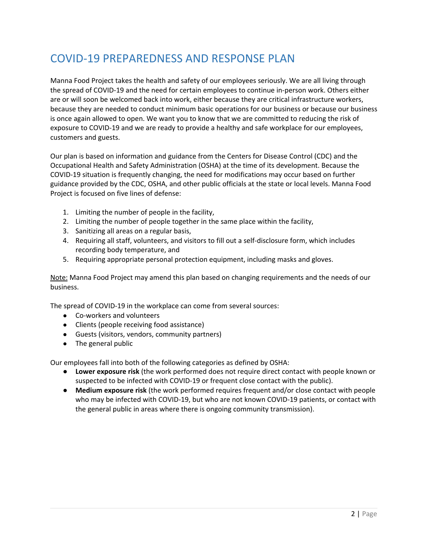## COVID-19 PREPAREDNESS AND RESPONSE PLAN

Manna Food Project takes the health and safety of our employees seriously. We are all living through the spread of COVID-19 and the need for certain employees to continue in-person work. Others either are or will soon be welcomed back into work, either because they are critical infrastructure workers, because they are needed to conduct minimum basic operations for our business or because our business is once again allowed to open. We want you to know that we are committed to reducing the risk of exposure to COVID-19 and we are ready to provide a healthy and safe workplace for our employees, customers and guests.

Our plan is based on information and guidance from the Centers for Disease Control (CDC) and the Occupational Health and Safety Administration (OSHA) at the time of its development. Because the COVID-19 situation is frequently changing, the need for modifications may occur based on further guidance provided by the CDC, OSHA, and other public officials at the state or local levels. Manna Food Project is focused on five lines of defense:

- 1. Limiting the number of people in the facility,
- 2. Limiting the number of people together in the same place within the facility,
- 3. Sanitizing all areas on a regular basis,
- 4. Requiring all staff, volunteers, and visitors to fill out a self-disclosure form, which includes recording body temperature, and
- 5. Requiring appropriate personal protection equipment, including masks and gloves.

Note: Manna Food Project may amend this plan based on changing requirements and the needs of our business.

The spread of COVID-19 in the workplace can come from several sources:

- Co-workers and volunteers
- Clients (people receiving food assistance)
- Guests (visitors, vendors, community partners)
- The general public

Our employees fall into both of the following categories as defined by OSHA:

- **Lower exposure risk** (the work performed does not require direct contact with people known or suspected to be infected with COVID-19 or frequent close contact with the public).
- **Medium exposure risk** (the work performed requires frequent and/or close contact with people who may be infected with COVID-19, but who are not known COVID-19 patients, or contact with the general public in areas where there is ongoing community transmission).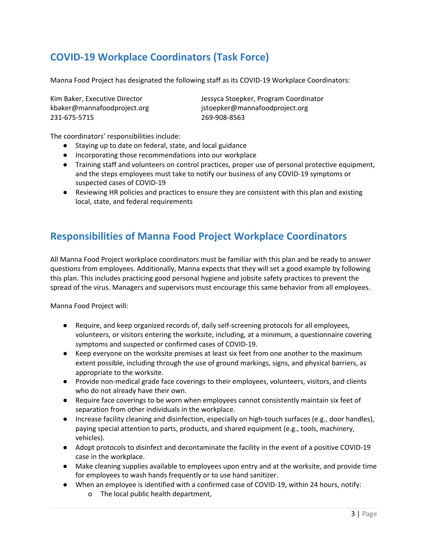## **COVID-19 Workplace Coordinators (Task Force)**

Manna Food Project has designated the following staff as its COVID-19 Workplace Coordinators:

231-675-5715 269-908-8563

Kim Baker, Executive Director **Jessyca Stoepker, Program Coordinator** kbaker@mannafoodproject.org istoepker@mannafoodproject.org

The coordinators' responsibilities include:

- Staying up to date on federal, state, and local guidance
- Incorporating those recommendations into our workplace
- Training staff and volunteers on control practices, proper use of personal protective equipment, and the steps employees must take to notify our business of any COVID-19 symptoms or suspected cases of COVID-19
- Reviewing HR policies and practices to ensure they are consistent with this plan and existing local, state, and federal requirements

## **Responsibilities of Manna Food Project Workplace Coordinators**

All Manna Food Project workplace coordinators must be familiar with this plan and be ready to answer questions from employees. Additionally, Manna expects that they will set a good example by following this plan. This includes practicing good personal hygiene and jobsite safety practices to prevent the spread of the virus. Managers and supervisors must encourage this same behavior from all employees.

Manna Food Project will:

- Require, and keep organized records of, daily self-screening protocols for all employees, volunteers, or visitors entering the worksite, including, at a minimum, a questionnaire covering symptoms and suspected or confirmed cases of COVID-19.
- Keep everyone on the worksite premises at least six feet from one another to the maximum extent possible, including through the use of ground markings, signs, and physical barriers, as appropriate to the worksite.
- Provide non-medical grade face coverings to their employees, volunteers, visitors, and clients who do not already have their own.
- Require face coverings to be worn when employees cannot consistently maintain six feet of separation from other individuals in the workplace.
- Increase facility cleaning and disinfection, especially on high-touch surfaces (e.g., door handles), paying special attention to parts, products, and shared equipment (e.g., tools, machinery, vehicles).
- Adopt protocols to disinfect and decontaminate the facility in the event of a positive COVID-19 case in the workplace.
- Make cleaning supplies available to employees upon entry and at the worksite, and provide time for employees to wash hands frequently or to use hand sanitizer.
- When an employee is identified with a confirmed case of COVID-19, within 24 hours, notify:
	- o The local public health department,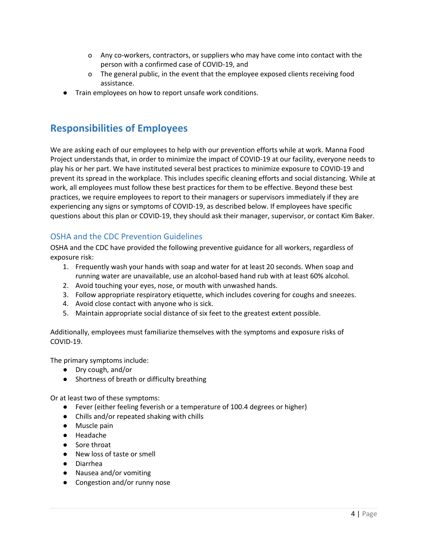- o Any co-workers, contractors, or suppliers who may have come into contact with the person with a confirmed case of COVID-19, and
- o The general public, in the event that the employee exposed clients receiving food assistance.
- Train employees on how to report unsafe work conditions.

### **Responsibilities of Employees**

We are asking each of our employees to help with our prevention efforts while at work. Manna Food Project understands that, in order to minimize the impact of COVID-19 at our facility, everyone needs to play his or her part. We have instituted several best practices to minimize exposure to COVID-19 and prevent its spread in the workplace. This includes specific cleaning efforts and social distancing. While at work, all employees must follow these best practices for them to be effective. Beyond these best practices, we require employees to report to their managers or supervisors immediately if they are experiencing any signs or symptoms of COVID-19, as described below. If employees have specific questions about this plan or COVID-19, they should ask their manager, supervisor, or contact Kim Baker.

#### OSHA and the CDC Prevention Guidelines

OSHA and the CDC have provided the following preventive guidance for all workers, regardless of exposure risk:

- 1. Frequently wash your hands with soap and water for at least 20 seconds. When soap and running water are unavailable, use an alcohol-based hand rub with at least 60% alcohol.
- 2. Avoid touching your eyes, nose, or mouth with unwashed hands.
- 3. Follow appropriate respiratory etiquette, which includes covering for coughs and sneezes.
- 4. Avoid close contact with anyone who is sick.
- 5. Maintain appropriate social distance of six feet to the greatest extent possible.

Additionally, employees must familiarize themselves with the symptoms and exposure risks of COVID-19.

The primary symptoms include:

- Dry cough, and/or
- Shortness of breath or difficulty breathing

Or at least two of these symptoms:

- Fever (either feeling feverish or a temperature of 100.4 degrees or higher)
- Chills and/or repeated shaking with chills
- Muscle pain
- Headache
- Sore throat
- New loss of taste or smell
- Diarrhea
- Nausea and/or vomiting
- Congestion and/or runny nose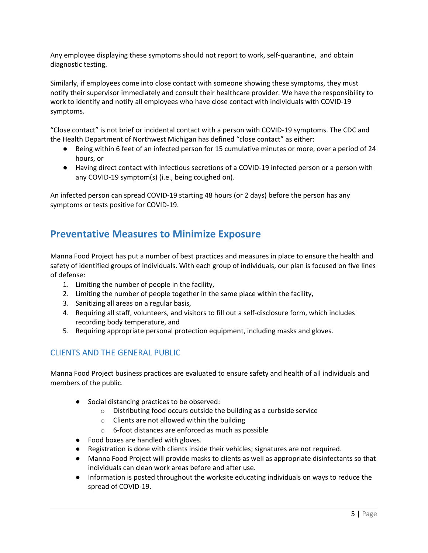Any employee displaying these symptoms should not report to work, self-quarantine, and obtain diagnostic testing.

Similarly, if employees come into close contact with someone showing these symptoms, they must notify their supervisor immediately and consult their healthcare provider. We have the responsibility to work to identify and notify all employees who have close contact with individuals with COVID-19 symptoms.

"Close contact" is not brief or incidental contact with a person with COVID-19 symptoms. The CDC and the Health Department of Northwest Michigan has defined "close contact" as either:

- Being within 6 feet of an infected person for 15 cumulative minutes or more, over a period of 24 hours, or
- Having direct contact with infectious secretions of a COVID-19 infected person or a person with any COVID-19 symptom(s) (i.e., being coughed on).

An infected person can spread COVID-19 starting 48 hours (or 2 days) before the person has any symptoms or tests positive for COVID-19.

### **Preventative Measures to Minimize Exposure**

Manna Food Project has put a number of best practices and measures in place to ensure the health and safety of identified groups of individuals. With each group of individuals, our plan is focused on five lines of defense:

- 1. Limiting the number of people in the facility,
- 2. Limiting the number of people together in the same place within the facility,
- 3. Sanitizing all areas on a regular basis,
- 4. Requiring all staff, volunteers, and visitors to fill out a self-disclosure form, which includes recording body temperature, and
- 5. Requiring appropriate personal protection equipment, including masks and gloves.

#### CLIENTS AND THE GENERAL PUBLIC

Manna Food Project business practices are evaluated to ensure safety and health of all individuals and members of the public.

- Social distancing practices to be observed:
	- o Distributing food occurs outside the building as a curbside service
	- o Clients are not allowed within the building
	- o 6-foot distances are enforced as much as possible
- Food boxes are handled with gloves.
- Registration is done with clients inside their vehicles; signatures are not required.
- Manna Food Project will provide masks to clients as well as appropriate disinfectants so that individuals can clean work areas before and after use.
- Information is posted throughout the worksite educating individuals on ways to reduce the spread of COVID-19.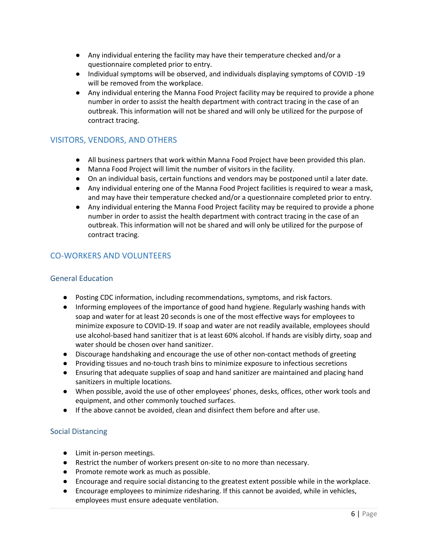- Any individual entering the facility may have their temperature checked and/or a questionnaire completed prior to entry.
- Individual symptoms will be observed, and individuals displaying symptoms of COVID -19 will be removed from the workplace.
- Any individual entering the Manna Food Project facility may be required to provide a phone number in order to assist the health department with contract tracing in the case of an outbreak. This information will not be shared and will only be utilized for the purpose of contract tracing.

#### VISITORS, VENDORS, AND OTHERS

- All business partners that work within Manna Food Project have been provided this plan.
- Manna Food Project will limit the number of visitors in the facility.
- On an individual basis, certain functions and vendors may be postponed until a later date.
- Any individual entering one of the Manna Food Project facilities is required to wear a mask, and may have their temperature checked and/or a questionnaire completed prior to entry.
- Any individual entering the Manna Food Project facility may be required to provide a phone number in order to assist the health department with contract tracing in the case of an outbreak. This information will not be shared and will only be utilized for the purpose of contract tracing.

#### CO-WORKERS AND VOLUNTEERS

#### General Education

- Posting CDC information, including recommendations, symptoms, and risk factors.
- Informing employees of the importance of good hand hygiene. Regularly washing hands with soap and water for at least 20 seconds is one of the most effective ways for employees to minimize exposure to COVID-19. If soap and water are not readily available, employees should use alcohol-based hand sanitizer that is at least 60% alcohol. If hands are visibly dirty, soap and water should be chosen over hand sanitizer.
- Discourage handshaking and encourage the use of other non-contact methods of greeting
- Providing tissues and no-touch trash bins to minimize exposure to infectious secretions
- Ensuring that adequate supplies of soap and hand sanitizer are maintained and placing hand sanitizers in multiple locations.
- When possible, avoid the use of other employees' phones, desks, offices, other work tools and equipment, and other commonly touched surfaces.
- If the above cannot be avoided, clean and disinfect them before and after use.

#### Social Distancing

- Limit in-person meetings.
- Restrict the number of workers present on-site to no more than necessary.
- Promote remote work as much as possible.
- Encourage and require social distancing to the greatest extent possible while in the workplace.
- Encourage employees to minimize ridesharing. If this cannot be avoided, while in vehicles, employees must ensure adequate ventilation.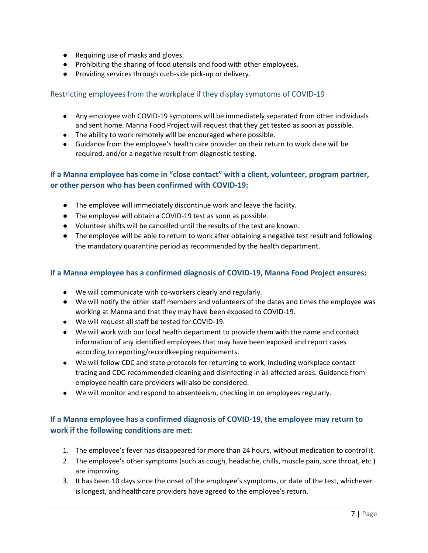- Requiring use of masks and gloves.
- Prohibiting the sharing of food utensils and food with other employees.
- Providing services through curb-side pick-up or delivery.

#### Restricting employees from the workplace if they display symptoms of COVID-19

- Any employee with COVID-19 symptoms will be immediately separated from other individuals and sent home. Manna Food Project will request that they get tested as soon as possible.
- The ability to work remotely will be encouraged where possible.
- Guidance from the employee's health care provider on their return to work date will be required, and/or a negative result from diagnostic testing.

#### **If a Manna employee has come in "close contact" with a client, volunteer, program partner, or other person who has been confirmed with COVID-19:**

- The employee will immediately discontinue work and leave the facility.
- The employee will obtain a COVID-19 test as soon as possible.
- Volunteer shifts will be cancelled until the results of the test are known.
- The employee will be able to return to work after obtaining a negative test result and following the mandatory quarantine period as recommended by the health department.

#### **If a Manna employee has a confirmed diagnosis of COVID-19, Manna Food Project ensures:**

- We will communicate with co-workers clearly and regularly.
- We will notify the other staff members and volunteers of the dates and times the employee was working at Manna and that they may have been exposed to COVID-19.
- We will request all staff be tested for COVID-19.
- We will work with our local health department to provide them with the name and contact information of any identified employees that may have been exposed and report cases according to reporting/recordkeeping requirements.
- We will follow CDC and state protocols for returning to work, including workplace contact tracing and CDC-recommended cleaning and disinfecting in all affected areas. Guidance from employee health care providers will also be considered.
- We will monitor and respond to absenteeism, checking in on employees regularly.

#### **If a Manna employee has a confirmed diagnosis of COVID-19, the employee may return to work if the following conditions are met:**

- 1. The employee's fever has disappeared for more than 24 hours, without medication to control it.
- 2. The employee's other symptoms (such as cough, headache, chills, muscle pain, sore throat, etc.) are improving.
- 3. It has been 10 days since the onset of the employee's symptoms, or date of the test, whichever is longest, and healthcare providers have agreed to the employee's return.